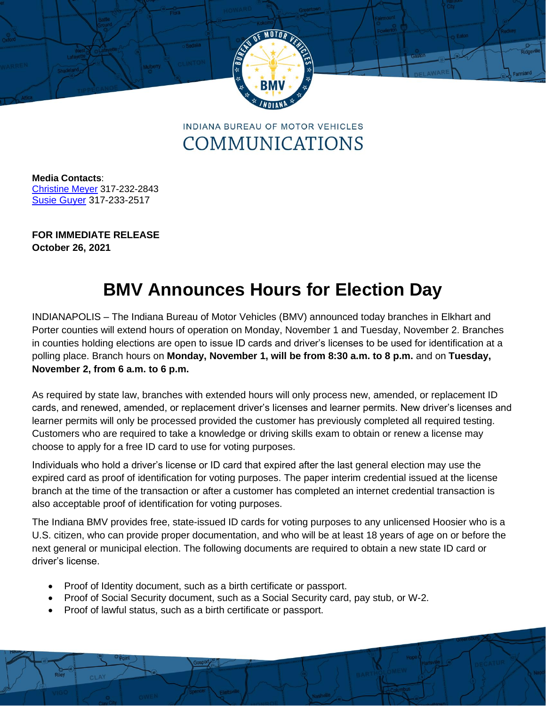

**INDIANA BUREAU OF MOTOR VEHICLES** COMMUNICATIONS

**Media Contacts**: [Christine Meyer](mailto:chmeyer@bmv.in.gov) 317-232-2843 Susie Guyer 317-233-2517

**FOR IMMEDIATE RELEASE October 26, 2021**

## **BMV Announces Hours for Election Day**

INDIANAPOLIS – The Indiana Bureau of Motor Vehicles (BMV) announced today branches in Elkhart and Porter counties will extend hours of operation on Monday, November 1 and Tuesday, November 2. Branches in counties holding elections are open to issue ID cards and driver's licenses to be used for identification at a polling place. Branch hours on **Monday, November 1, will be from 8:30 a.m. to 8 p.m.** and on **Tuesday, November 2, from 6 a.m. to 6 p.m.** 

As required by state law, branches with extended hours will only process new, amended, or replacement ID cards, and renewed, amended, or replacement driver's licenses and learner permits. New driver's licenses and learner permits will only be processed provided the customer has previously completed all required testing. Customers who are required to take a knowledge or driving skills exam to obtain or renew a license may choose to apply for a free ID card to use for voting purposes.

Individuals who hold a driver's license or ID card that expired after the last general election may use the expired card as proof of identification for voting purposes. The paper interim credential issued at the license branch at the time of the transaction or after a customer has completed an internet credential transaction is also acceptable proof of identification for voting purposes.

The Indiana BMV provides free, state-issued ID cards for voting purposes to any unlicensed Hoosier who is a U.S. citizen, who can provide proper documentation, and who will be at least 18 years of age on or before the next general or municipal election. The following documents are required to obtain a new state ID card or driver's license.

- Proof of Identity document, such as a birth certificate or passport.
- Proof of Social Security document, such as a Social Security card, pay stub, or W-2.
- Proof of lawful status, such as a birth certificate or passport.